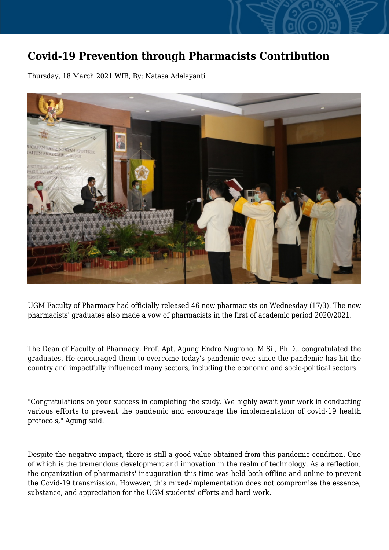## **Covid-19 Prevention through Pharmacists Contribution**

Thursday, 18 March 2021 WIB, By: Natasa Adelayanti



UGM Faculty of Pharmacy had officially released 46 new pharmacists on Wednesday (17/3). The new pharmacists' graduates also made a vow of pharmacists in the first of academic period 2020/2021.

The Dean of Faculty of Pharmacy, Prof. Apt. Agung Endro Nugroho, M.Si., Ph.D., congratulated the graduates. He encouraged them to overcome today's pandemic ever since the pandemic has hit the country and impactfully influenced many sectors, including the economic and socio-political sectors.

"Congratulations on your success in completing the study. We highly await your work in conducting various efforts to prevent the pandemic and encourage the implementation of covid-19 health protocols," Agung said.

Despite the negative impact, there is still a good value obtained from this pandemic condition. One of which is the tremendous development and innovation in the realm of technology. As a reflection, the organization of pharmacists' inauguration this time was held both offline and online to prevent the Covid-19 transmission. However, this mixed-implementation does not compromise the essence, substance, and appreciation for the UGM students' efforts and hard work.